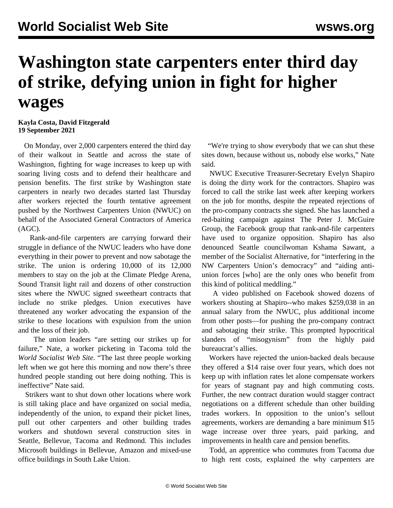## **Washington state carpenters enter third day of strike, defying union in fight for higher wages**

**Kayla Costa, David Fitzgerald 19 September 2021**

 On Monday, over 2,000 carpenters entered the third day of their walkout in Seattle and across the state of Washington, fighting for wage increases to keep up with soaring living costs and to defend their healthcare and pension benefits. The first strike by Washington state carpenters in nearly two decades started last Thursday after workers rejected the fourth tentative agreement pushed by the Northwest Carpenters Union (NWUC) on behalf of the Associated General Contractors of America (AGC).

 Rank-and-file carpenters are carrying forward their struggle in defiance of the NWUC leaders who have done everything in their power to prevent and now sabotage the strike. The union is ordering 10,000 of its 12,000 members to stay on the job at the Climate Pledge Arena, Sound Transit light rail and dozens of other construction sites where the NWUC signed sweetheart contracts that include no strike pledges. Union executives have threatened any worker advocating the expansion of the strike to these locations with expulsion from the union and the loss of their job.

 The union leaders "are setting our strikes up for failure," Nate, a worker picketing in Tacoma told the *World Socialist Web Site*. "The last three people working left when we got here this morning and now there's three hundred people standing out here doing nothing. This is ineffective" Nate said.

 Strikers want to shut down other locations where work is still taking place and have organized on social media, independently of the union, to expand their picket lines, pull out other carpenters and other building trades workers and shutdown several construction sites in Seattle, Bellevue, Tacoma and Redmond. This includes Microsoft buildings in Bellevue, Amazon and mixed-use office buildings in South Lake Union.

 "We're trying to show everybody that we can shut these sites down, because without us, nobody else works," Nate said.

 NWUC Executive Treasurer-Secretary Evelyn Shapiro is doing the dirty work for the contractors. Shapiro was forced to call the strike last week after keeping workers on the job for months, despite the repeated rejections of the pro-company contracts she signed. She has launched a red-baiting campaign against The Peter J. McGuire Group, the Facebook group that rank-and-file carpenters have used to organize opposition. Shapiro has also denounced Seattle councilwoman Kshama Sawant, a member of the Socialist Alternative, for "interfering in the NW Carpenters Union's democracy" and "aiding antiunion forces [who] are the only ones who benefit from this kind of political meddling."

 A video published on Facebook showed dozens of workers shouting at Shapiro--who makes \$259,038 in an annual salary from the NWUC, plus additional income from other posts—for pushing the pro-company contract and sabotaging their strike. This prompted hypocritical slanders of "misogynism" from the highly paid bureaucrat's allies.

 Workers have rejected the union-backed deals because they offered a \$14 raise over four years, which does not keep up with inflation rates let alone compensate workers for years of stagnant pay and high commuting costs. Further, the new contract duration would stagger contract negotiations on a different schedule than other building trades workers. In opposition to the union's sellout agreements, workers are demanding a bare minimum \$15 wage increase over three years, paid parking, and improvements in health care and pension benefits.

 Todd, an apprentice who commutes from Tacoma due to high rent costs, explained the why carpenters are